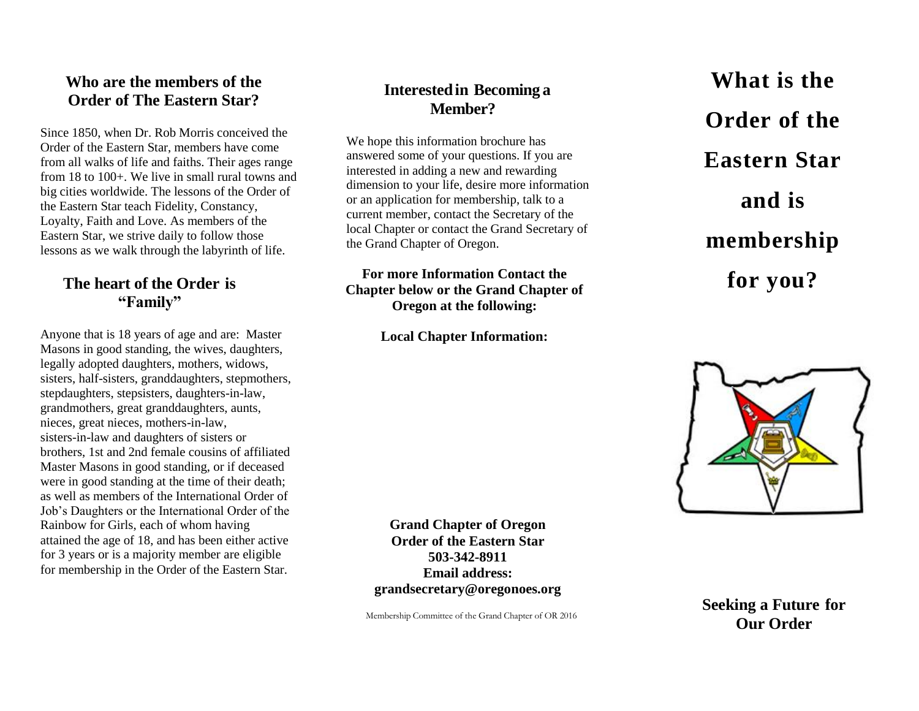#### **Who are the members of the Order of The Eastern Star?**

Since 1850, when Dr. Rob Morris conceived the Order of the Eastern Star, members have come from all walks of life and faiths. Their ages range from 18 to 100+. We live in small rural towns and big cities worldwide. The lessons of the Order of the Eastern Star teach Fidelity, Constancy, Loyalty, Faith and Love. As members of the Eastern Star, we strive daily to follow those lessons as we walk through the labyrinth of life.

#### **The heart of the Order is "Family"**

Anyone that is 18 years of age and are: Master Masons in good standing, the wives, daughters, legally adopted daughters, mothers, widows, sisters, half-sisters, granddaughters, stepmothers, stepdaughters, stepsisters, daughters -in -law, grandmothers, great granddaughters, aunts, nieces, great nieces, mothers -in -law, sisters -in -law and daughters of sisters or brothers, 1st and 2nd female cousins of affiliated Master Masons in good standing, or if deceased were in good standing at the time of their death; as well as members of the International Order of Job's Daughters or the International Order of the Rainbow for Girls, each of whom having attained the age of 18, and has been either active for 3 years or is a majority member are eligible for membership in the Order of the Eastern Star.

# **Interestedin Becoming a Member?**

We hope this information brochure has answered some of your questions. If you are interested in adding a new and rewarding dimension to your life, desire more information or an application for membership, talk to a current member, contact the Secretary of the local Chapter or contact the Grand Secretary of the Grand Chapter of Oregon .

#### **For more Information Contact the Chapter below or the Grand Chapter of Oregon at the following:**

**Local Chapter Information:**

**Grand Chapter of Oregon Order of the Eastern Star 503 -342 -8911 Email address: grandsecretary@oregonoes.org**

Membership Committee of the Grand Chapter of OR 2016

**What is the Order of the Eastern Star and is membership for you?**



**Seeking a Future for Our Order**